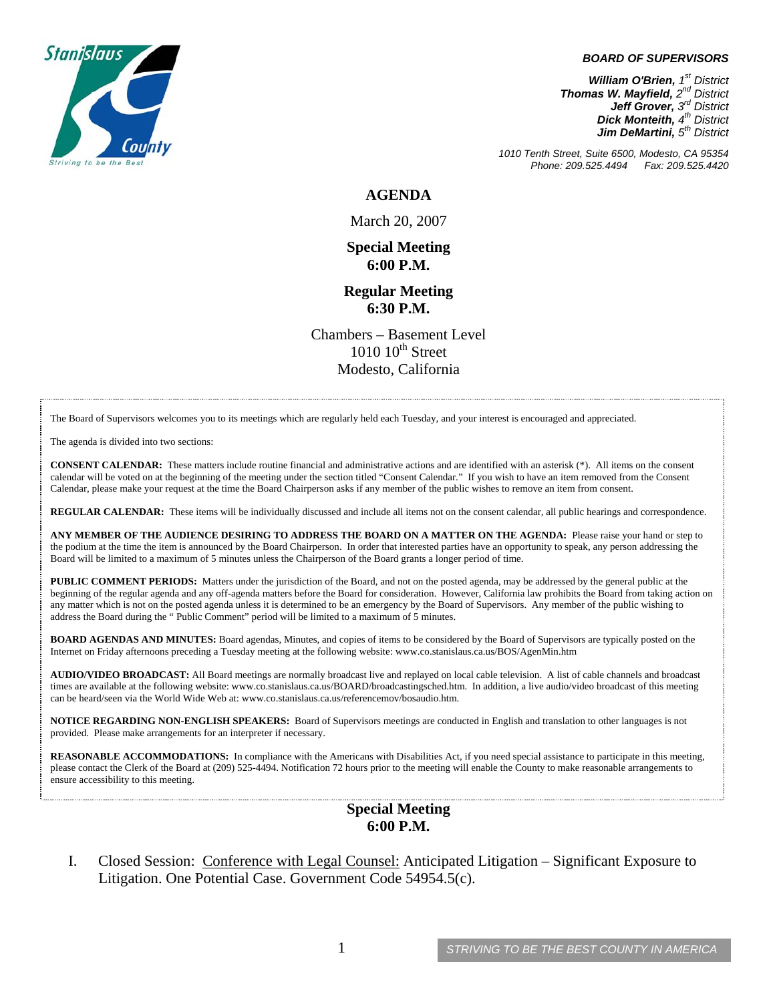

#### *BOARD OF SUPERVISORS*

*William O'Brien, 1<sup>st</sup> District Thomas W. Mayfield, 2nd District Jeff Grover, 3rd District Dick Monteith, 4<sup>th</sup> District Jim DeMartini, 5th District*

*1010 Tenth Street, Suite 6500, Modesto, CA 95354 Phone: 209.525.4494 Fax: 209.525.4420*

**AGENDA** 

March 20, 2007

**Special Meeting 6:00 P.M.** 

#### **Regular Meeting 6:30 P.M.**

Chambers – Basement Level  $1010$   $10^{th}$  Street Modesto, California

The Board of Supervisors welcomes you to its meetings which are regularly held each Tuesday, and your interest is encouraged and appreciated.

The agenda is divided into two sections:

**CONSENT CALENDAR:** These matters include routine financial and administrative actions and are identified with an asterisk (\*). All items on the consent calendar will be voted on at the beginning of the meeting under the section titled "Consent Calendar." If you wish to have an item removed from the Consent Calendar, please make your request at the time the Board Chairperson asks if any member of the public wishes to remove an item from consent.

**REGULAR CALENDAR:** These items will be individually discussed and include all items not on the consent calendar, all public hearings and correspondence.

**ANY MEMBER OF THE AUDIENCE DESIRING TO ADDRESS THE BOARD ON A MATTER ON THE AGENDA:** Please raise your hand or step to the podium at the time the item is announced by the Board Chairperson. In order that interested parties have an opportunity to speak, any person addressing the Board will be limited to a maximum of 5 minutes unless the Chairperson of the Board grants a longer period of time.

**PUBLIC COMMENT PERIODS:** Matters under the jurisdiction of the Board, and not on the posted agenda, may be addressed by the general public at the beginning of the regular agenda and any off-agenda matters before the Board for consideration. However, California law prohibits the Board from taking action on any matter which is not on the posted agenda unless it is determined to be an emergency by the Board of Supervisors. Any member of the public wishing to address the Board during the " Public Comment" period will be limited to a maximum of 5 minutes.

**BOARD AGENDAS AND MINUTES:** Board agendas, Minutes, and copies of items to be considered by the Board of Supervisors are typically posted on the Internet on Friday afternoons preceding a Tuesday meeting at the following website: [www.co.stanislaus.ca.us/BOS/AgenMin.htm](http://www.co.stanislaus.ca.us/BOS/AgenMin.htm) 

**AUDIO/VIDEO BROADCAST:** All Board meetings are normally broadcast live and replayed on local cable television. A list of cable channels and broadcast times are available at the following website: [www.co.stanislaus.ca.us/BOARD/broadcastingsched.htm](http://www.co.stanislaus.ca.us/BOARD/broadcastingsched.htm). In addition, a live audio/video broadcast of this meeting can be heard/seen via the World Wide Web at: [www.co.stanislaus.ca.us/referencemov/bosaudio.htm.](http://www.co.stanislaus.ca.us/referencemov/bosaudio.htm)

**NOTICE REGARDING NON-ENGLISH SPEAKERS:** Board of Supervisors meetings are conducted in English and translation to other languages is not provided. Please make arrangements for an interpreter if necessary.

**REASONABLE ACCOMMODATIONS:** In compliance with the Americans with Disabilities Act, if you need special assistance to participate in this meeting, please contact the Clerk of the Board at (209) 525-4494. Notification 72 hours prior to the meeting will enable the County to make reasonable arrangements to ensure accessibility to this meeting.

#### **Special Meeting 6:00 P.M.**

I. Closed Session: Conference with Legal Counsel: Anticipated Litigation – Significant Exposure to Litigation. One Potential Case. Government Code 54954.5(c).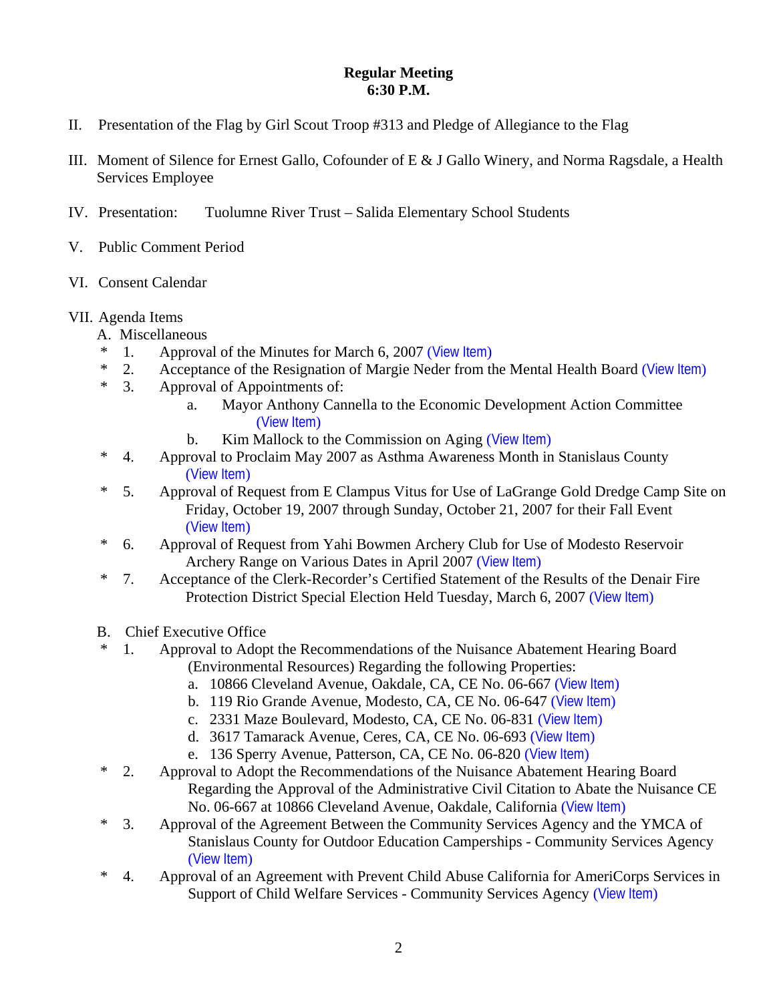## **Regular Meeting 6:30 P.M.**

- II. Presentation of the Flag by Girl Scout Troop #313 and Pledge of Allegiance to the Flag
- III. Moment of Silence for Ernest Gallo, Cofounder of E & J Gallo Winery, and Norma Ragsdale, a Health Services Employee
- IV. Presentation: Tuolumne River Trust Salida Elementary School Students
- V. Public Comment Period
- VI. Consent Calendar

# VII. Agenda Items

- A. Miscellaneous
- \* 1. Approval of the Minutes for March 6, 2007 ([View Item](http://www.co.stanislaus.ca.us/bos/minutes/2007/min03-06-07.pdf))
- \* 2. Acceptance of the Resignation of Margie Neder from the Mental Health Board ([View Item](http://www.co.stanislaus.ca.us/bos/agenda/2007/20070320/A02.pdf))
- \* 3. Approval of Appointments of:
	- a. Mayor Anthony Cannella to the Economic Development Action Committee ([View Item](http://www.co.stanislaus.ca.us/bos/agenda/2007/20070320/A03a.pdf))
	- b. Kim Mallock to the Commission on Aging ([View Item](http://www.co.stanislaus.ca.us/bos/agenda/2007/20070320/A03b.pdf))
- \* 4. Approval to Proclaim May 2007 as Asthma Awareness Month in Stanislaus County ([View Item](http://www.co.stanislaus.ca.us/bos/agenda/2007/20070320/A04.pdf))
- \* 5. Approval of Request from E Clampus Vitus for Use of LaGrange Gold Dredge Camp Site on Friday, October 19, 2007 through Sunday, October 21, 2007 for their Fall Event ([View Item](http://www.co.stanislaus.ca.us/bos/agenda/2007/20070320/A05.pdf))
- \* 6. Approval of Request from Yahi Bowmen Archery Club for Use of Modesto Reservoir Archery Range on Various Dates in April 2007 ([View Item](http://www.co.stanislaus.ca.us/bos/agenda/2007/20070320/A06.pdf))
- \* 7. Acceptance of the Clerk-Recorder's Certified Statement of the Results of the Denair Fire Protection District Special Election Held Tuesday, March 6, 2007 ([View Item](http://www.co.stanislaus.ca.us/bos/agenda/2007/20070320/A07.pdf))
- B. Chief Executive Office
- \* 1. Approval to Adopt the Recommendations of the Nuisance Abatement Hearing Board (Environmental Resources) Regarding the following Properties:
	- a. 10866 Cleveland Avenue, Oakdale, CA, CE No. 06-667 ([View Item](http://www.co.stanislaus.ca.us/bos/agenda/2007/20070320/B01a.pdf))
	- b. 119 Rio Grande Avenue, Modesto, CA, CE No. 06-647 ([View Item](http://www.co.stanislaus.ca.us/bos/agenda/2007/20070320/B01b.pdf))
	- c. 2331 Maze Boulevard, Modesto, CA, CE No. 06-831 ([View Item](http://www.co.stanislaus.ca.us/bos/agenda/2007/20070320/B01c.pdf))
	- d. 3617 Tamarack Avenue, Ceres, CA, CE No. 06-693 ([View Item](http://www.co.stanislaus.ca.us/bos/agenda/2007/20070320/B01d.pdf))
	- e. 136 Sperry Avenue, Patterson, CA, CE No. 06-820 ([View Item](http://www.co.stanislaus.ca.us/bos/agenda/2007/20070320/B01e.pdf))
- \* 2. Approval to Adopt the Recommendations of the Nuisance Abatement Hearing Board Regarding the Approval of the Administrative Civil Citation to Abate the Nuisance CE No. 06-667 at 10866 Cleveland Avenue, Oakdale, California ([View Item](http://www.co.stanislaus.ca.us/bos/agenda/2007/20070320/B02.pdf))
- \* 3. Approval of the Agreement Between the Community Services Agency and the YMCA of Stanislaus County for Outdoor Education Camperships - Community Services Agency ([View Item](http://www.co.stanislaus.ca.us/bos/agenda/2007/20070320/B03.pdf))
- \* 4. Approval of an Agreement with Prevent Child Abuse California for AmeriCorps Services in Support of Child Welfare Services - Community Services Agency ([View Item](http://www.co.stanislaus.ca.us/bos/agenda/2007/20070320/B04.pdf))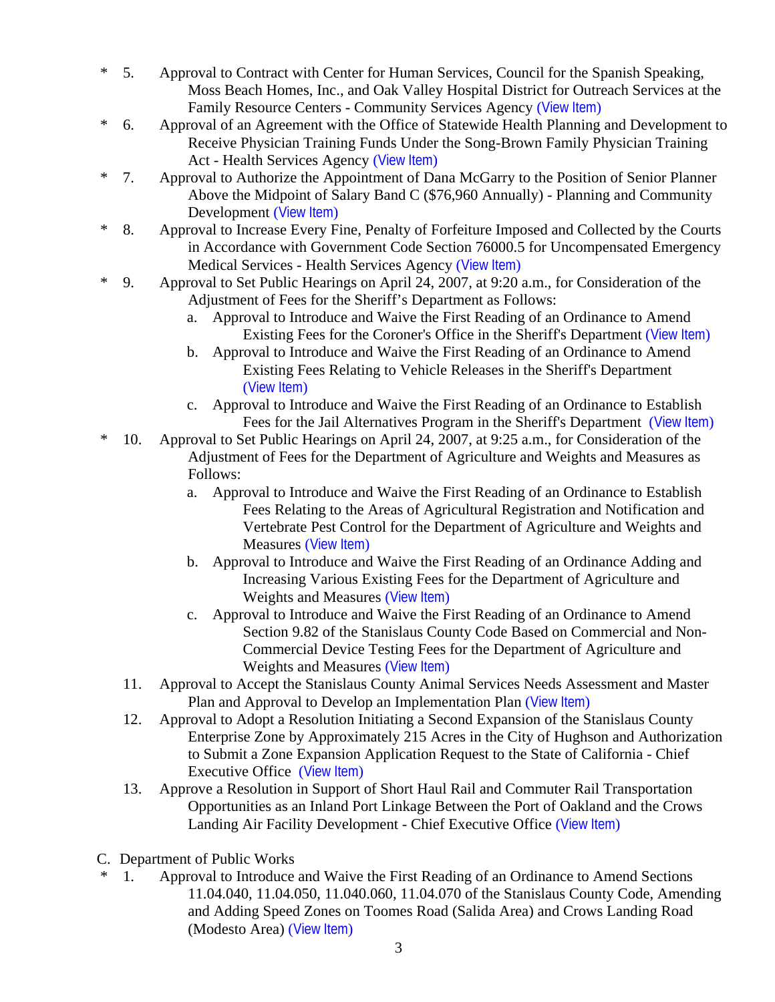- \* 5. Approval to Contract with Center for Human Services, Council for the Spanish Speaking, Moss Beach Homes, Inc., and Oak Valley Hospital District for Outreach Services at the Family Resource Centers - Community Services Agency ([View Item](http://www.co.stanislaus.ca.us/bos/agenda/2007/20070320/B05.pdf))
- \* 6. Approval of an Agreement with the Office of Statewide Health Planning and Development to Receive Physician Training Funds Under the Song-Brown Family Physician Training Act - Health Services Agency ([View Item](http://www.co.stanislaus.ca.us/bos/agenda/2007/20070320/B06.pdf))
- \* 7. Approval to Authorize the Appointment of Dana McGarry to the Position of Senior Planner Above the Midpoint of Salary Band C (\$76,960 Annually) - Planning and Community Development ([View Item](http://www.co.stanislaus.ca.us/bos/agenda/2007/20070320/B07.pdf))
- \* 8. Approval to Increase Every Fine, Penalty of Forfeiture Imposed and Collected by the Courts in Accordance with Government Code Section 76000.5 for Uncompensated Emergency Medical Services - Health Services Agency ([View Item](http://www.co.stanislaus.ca.us/bos/agenda/2007/20070320/B08.pdf))
- \* 9. Approval to Set Public Hearings on April 24, 2007, at 9:20 a.m., for Consideration of the Adjustment of Fees for the Sheriff's Department as Follows:
	- a. Approval to Introduce and Waive the First Reading of an Ordinance to Amend Existing Fees for the Coroner's Office in the Sheriff's Department ([View Item](http://www.co.stanislaus.ca.us/bos/agenda/2007/20070320/B09a.pdf))
	- b. Approval to Introduce and Waive the First Reading of an Ordinance to Amend Existing Fees Relating to Vehicle Releases in the Sheriff's Department ([View Item](http://www.co.stanislaus.ca.us/bos/agenda/2007/20070320/B09b.pdf))
	- c. Approval to Introduce and Waive the First Reading of an Ordinance to Establish Fees for the Jail Alternatives Program in the Sheriff's Department ([View Item](http://www.co.stanislaus.ca.us/bos/agenda/2007/20070320/B09c.pdf))
- \* 10. Approval to Set Public Hearings on April 24, 2007, at 9:25 a.m., for Consideration of the Adjustment of Fees for the Department of Agriculture and Weights and Measures as Follows:
	- a. Approval to Introduce and Waive the First Reading of an Ordinance to Establish Fees Relating to the Areas of Agricultural Registration and Notification and Vertebrate Pest Control for the Department of Agriculture and Weights and Measures ([View Item](http://www.co.stanislaus.ca.us/bos/agenda/2007/20070320/B10a.pdf))
	- b. Approval to Introduce and Waive the First Reading of an Ordinance Adding and Increasing Various Existing Fees for the Department of Agriculture and Weights and Measures ([View Item](http://www.co.stanislaus.ca.us/bos/agenda/2007/20070320/B10b.pdf))
	- c. Approval to Introduce and Waive the First Reading of an Ordinance to Amend Section 9.82 of the Stanislaus County Code Based on Commercial and Non-Commercial Device Testing Fees for the Department of Agriculture and Weights and Measures ([View Item](http://www.co.stanislaus.ca.us/bos/agenda/2007/20070320/B10c.pdf))
	- 11. Approval to Accept the Stanislaus County Animal Services Needs Assessment and Master Plan and Approval to Develop an Implementation Plan ([View Item](http://www.co.stanislaus.ca.us/bos/agenda/2007/20070320/B11.pdf))
	- 12. Approval to Adopt a Resolution Initiating a Second Expansion of the Stanislaus County Enterprise Zone by Approximately 215 Acres in the City of Hughson and Authorization to Submit a Zone Expansion Application Request to the State of California - Chief Executive Office ([View Item](http://www.co.stanislaus.ca.us/bos/agenda/2007/20070320/B12.pdf))
	- 13. Approve a Resolution in Support of Short Haul Rail and Commuter Rail Transportation Opportunities as an Inland Port Linkage Between the Port of Oakland and the Crows Landing Air Facility Development - Chief Executive Office ([View Item](http://www.co.stanislaus.ca.us/bos/agenda/2007/20070320/B13.pdf))
- C. Department of Public Works
- 1. Approval to Introduce and Waive the First Reading of an Ordinance to Amend Sections 11.04.040, 11.04.050, 11.040.060, 11.04.070 of the Stanislaus County Code, Amending and Adding Speed Zones on Toomes Road (Salida Area) and Crows Landing Road (Modesto Area) ([View Item](http://www.co.stanislaus.ca.us/bos/agenda/2007/20070320/C01.pdf))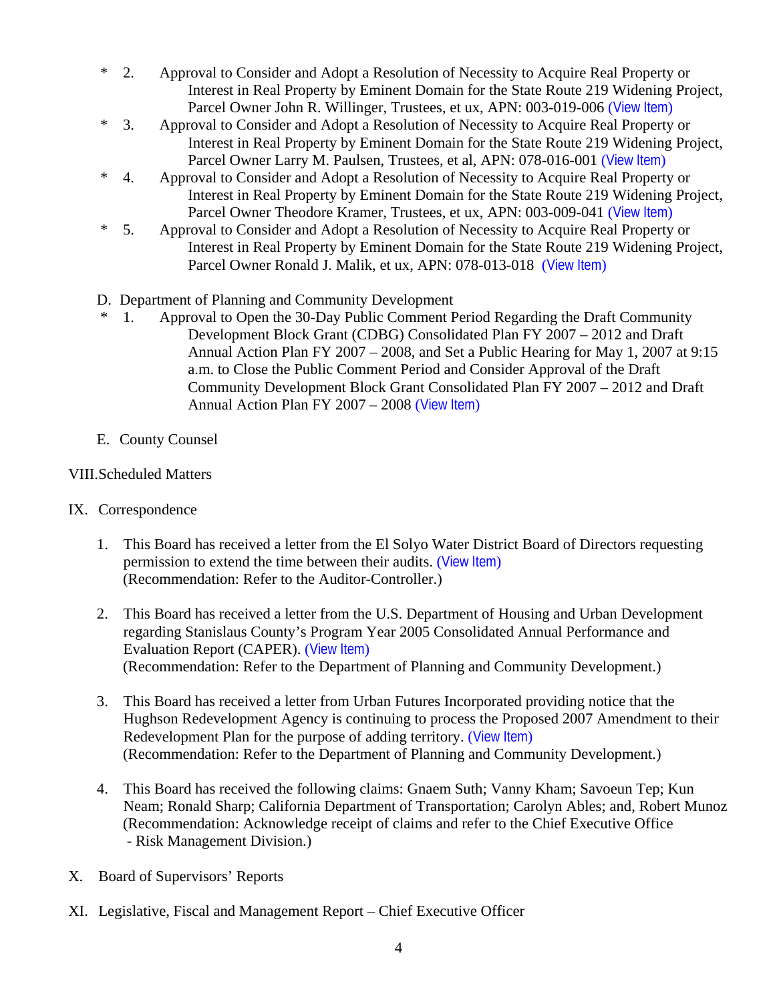- \* 2. Approval to Consider and Adopt a Resolution of Necessity to Acquire Real Property or Interest in Real Property by Eminent Domain for the State Route 219 Widening Project, Parcel Owner John R. Willinger, Trustees, et ux, APN: 003-019-006 ([View Item](http://www.co.stanislaus.ca.us/bos/agenda/2007/20070320/C02.pdf))
- \* 3. Approval to Consider and Adopt a Resolution of Necessity to Acquire Real Property or Interest in Real Property by Eminent Domain for the State Route 219 Widening Project, Parcel Owner Larry M. Paulsen, Trustees, et al, APN: 078-016-001 ([View Item](http://www.co.stanislaus.ca.us/bos/agenda/2007/20070320/C03.pdf))
- \* 4. Approval to Consider and Adopt a Resolution of Necessity to Acquire Real Property or Interest in Real Property by Eminent Domain for the State Route 219 Widening Project, Parcel Owner Theodore Kramer, Trustees, et ux, APN: 003-009-041 ([View Item](http://www.co.stanislaus.ca.us/bos/agenda/2007/20070320/C04.pdf))
- \* 5. Approval to Consider and Adopt a Resolution of Necessity to Acquire Real Property or Interest in Real Property by Eminent Domain for the State Route 219 Widening Project, Parcel Owner Ronald J. Malik, et ux, APN: 078-013-018 ([View Item](http://www.co.stanislaus.ca.us/bos/agenda/2007/20070320/C05.pdf))
- D. Department of Planning and Community Development
- \* 1. Approval to Open the 30-Day Public Comment Period Regarding the Draft Community Development Block Grant (CDBG) Consolidated Plan FY 2007 – 2012 and Draft Annual Action Plan FY 2007 – 2008, and Set a Public Hearing for May 1, 2007 at 9:15 a.m. to Close the Public Comment Period and Consider Approval of the Draft Community Development Block Grant Consolidated Plan FY 2007 – 2012 and Draft Annual Action Plan FY 2007 – 2008 ([View Item](http://www.co.stanislaus.ca.us/bos/agenda/2007/20070320/D01.pdf))
- E. County Counsel

## VIII. Scheduled Matters

- IX. Correspondence
	- 1. This Board has received a letter from the El Solyo Water District Board of Directors requesting permission to extend the time between their audits. ([View Item](http://www.co.stanislaus.ca.us/bos/agenda/2007/20070320/Corr01.pdf)) (Recommendation: Refer to the Auditor-Controller.)
	- 2. This Board has received a letter from the U.S. Department of Housing and Urban Development regarding Stanislaus County's Program Year 2005 Consolidated Annual Performance and Evaluation Report (CAPER). ([View Item](http://www.co.stanislaus.ca.us/bos/agenda/2007/20070320/Corr02.pdf)) (Recommendation: Refer to the Department of Planning and Community Development.)
	- 3. This Board has received a letter from Urban Futures Incorporated providing notice that the Hughson Redevelopment Agency is continuing to process the Proposed 2007 Amendment to their Redevelopment Plan for the purpose of adding territory. ([View Item](http://www.co.stanislaus.ca.us/bos/agenda/2007/20070320/Corr03.pdf)) (Recommendation: Refer to the Department of Planning and Community Development.)
	- 4. This Board has received the following claims: Gnaem Suth; Vanny Kham; Savoeun Tep; Kun Neam; Ronald Sharp; California Department of Transportation; Carolyn Ables; and, Robert Munoz (Recommendation: Acknowledge receipt of claims and refer to the Chief Executive Office - Risk Management Division.)
- X. Board of Supervisors' Reports
- XI. Legislative, Fiscal and Management Report Chief Executive Officer